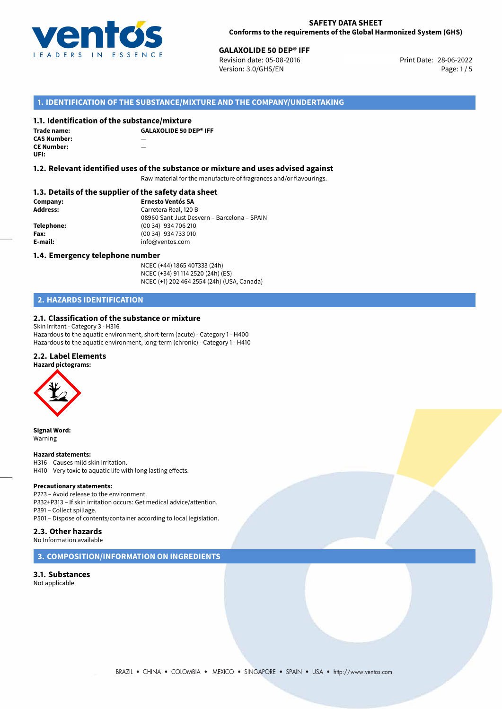

# **CALAXOLIDE 50 DEP® IFF**<br>
Revision date: 05-08-2016<br> **Print Date: 28-06-2022**

Revision date: 05-08-2016 Version: 3.0/GHS/EN Page: 1/5

### **1. IDENTIFICATION OF THE SUBSTANCE/MIXTURE AND THE COMPANY/UNDERTAKING**

#### **1.1. Identification of the substance/mixture**

**Trade name: CAS Number:** — **CE Number: UFI:**

**GALAXOLIDE 50 DEP® IFF**

#### **1.2. Relevant identified uses of the substance or mixture and uses advised against**

Raw material for the manufacture of fragrances and/or flavourings.

#### **1.3. Details of the supplier of the safety data sheet**

| Company:   | <b>Ernesto Ventós SA</b>                    |
|------------|---------------------------------------------|
| Address:   | Carretera Real, 120 B                       |
|            | 08960 Sant Just Desvern - Barcelona - SPAIN |
| Telephone: | (00 34) 934 706 210                         |
| Fax:       | (00 34) 934 733 010                         |
| E-mail:    | info@ventos.com                             |
|            |                                             |

#### **1.4. Emergency telephone number**

NCEC (+44) 1865 407333 (24h) NCEC (+34) 91 114 2520 (24h) (ES) NCEC (+1) 202 464 2554 (24h) (USA, Canada)

# **2. HAZARDS IDENTIFICATION**

#### **2.1. Classification of the substance or mixture**

Skin Irritant - Category 3 - H316 Hazardous to the aquatic environment, short-term (acute) - Category 1 - H400 Hazardous to the aquatic environment, long-term (chronic) - Category 1 - H410

#### **2.2. Label Elements**



**Signal Word:** Warning

#### **Hazard statements:**

H316 – Causes mild skin irritation. H410 – Very toxic to aquatic life with long lasting effects.

#### **Precautionary statements:**

P273 – Avoid release to the environment. P332+P313 – If skin irritation occurs: Get medical advice/attention. P391 – Collect spillage. P501 – Dispose of contents/container according to local legislation.

### **2.3. Other hazards**

No Information available

#### **3. COMPOSITION/INFORMATION ON INGREDIENTS**

**3.1. Substances** Not applicable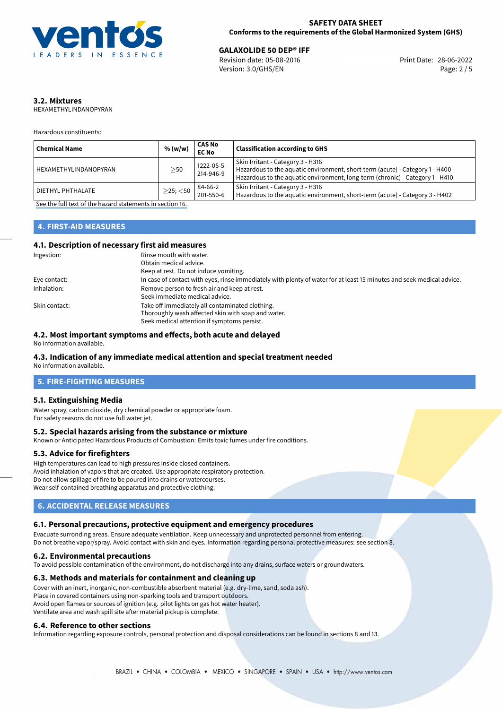

**GALAXOLIDE 50 DEP® IFF**<br>
Revision date: 05-08-2016 Print Date: 28-06-2022 Version: 3.0/GHS/EN Page: 2 / 5

# **3.2. Mixtures**

HEXAMETHYLINDANOPYRAN

Hazardous constituents:

| <b>Chemical Name</b>  | % (w/w)        | <b>CAS No</b><br><b>EC No</b> | <b>Classification according to GHS</b>                                                                                                                                                             |
|-----------------------|----------------|-------------------------------|----------------------------------------------------------------------------------------------------------------------------------------------------------------------------------------------------|
| HEXAMETHYLINDANOPYRAN | $\geq$ 50      | 1222-05-5<br>214-946-9        | Skin Irritant - Category 3 - H316<br>Hazardous to the aquatic environment, short-term (acute) - Category 1 - H400<br>Hazardous to the aquatic environment, long-term (chronic) - Category 1 - H410 |
| DIETHYL PHTHALATE     | $>$ 25; $<$ 50 | 84-66-2<br>201-550-6          | Skin Irritant - Category 3 - H316<br>Hazardous to the aquatic environment, short-term (acute) - Category 3 - H402                                                                                  |

[See the full text of the hazard statements in section 16.](#page-4-0)

# **4. FIRST-AID MEASURES**

#### **4.1. Description of necessary first aid measures**

| Ingestion:    | Rinse mouth with water.                                                                                               |
|---------------|-----------------------------------------------------------------------------------------------------------------------|
|               | Obtain medical advice.                                                                                                |
|               | Keep at rest. Do not induce vomiting.                                                                                 |
| Eye contact:  | In case of contact with eyes, rinse immediately with plenty of water for at least 15 minutes and seek medical advice. |
| Inhalation:   | Remove person to fresh air and keep at rest.                                                                          |
|               | Seek immediate medical advice.                                                                                        |
| Skin contact: | Take off immediately all contaminated clothing.                                                                       |
|               | Thoroughly wash affected skin with soap and water.                                                                    |
|               | Seek medical attention if symptoms persist.                                                                           |

#### **4.2. Most important symptoms and effects, both acute and delayed**

No information available.

# **4.3. Indication of any immediate medical attention and special treatment needed**

No information available.

### **5. FIRE-FIGHTING MEASURES**

#### **5.1. Extinguishing Media**

Water spray, carbon dioxide, dry chemical powder or appropriate foam. For safety reasons do not use full water jet.

### **5.2. Special hazards arising from the substance or mixture**

Known or Anticipated Hazardous Products of Combustion: Emits toxic fumes under fire conditions.

#### **5.3. Advice for firefighters**

High temperatures can lead to high pressures inside closed containers. Avoid inhalation of vapors that are created. Use appropriate respiratory protection. Do not allow spillage of fire to be poured into drains or watercourses. Wear self-contained breathing apparatus and protective clothing.

# **6. ACCIDENTAL RELEASE MEASURES**

#### **6.1. Personal precautions, protective equipment and emergency procedures**

Evacuate surronding areas. Ensure adequate ventilation. Keep unnecessary and unprotected personnel from entering. Do not breathe vapor/spray. Avoid contact with skin and eyes. Information regarding personal protective measures: see section 8.

#### **6.2. Environmental precautions**

To avoid possible contamination of the environment, do not discharge into any drains, surface waters or groundwaters.

#### **6.3. Methods and materials for containment and cleaning up**

Cover with an inert, inorganic, non-combustible absorbent material (e.g. dry-lime, sand, soda ash). Place in covered containers using non-sparking tools and transport outdoors. Avoid open flames or sources of ignition (e.g. pilot lights on gas hot water heater). Ventilate area and wash spill site after material pickup is complete.

#### **6.4. Reference to other sections**

Information regarding exposure controls, personal protection and disposal considerations can be found in sections 8 and 13.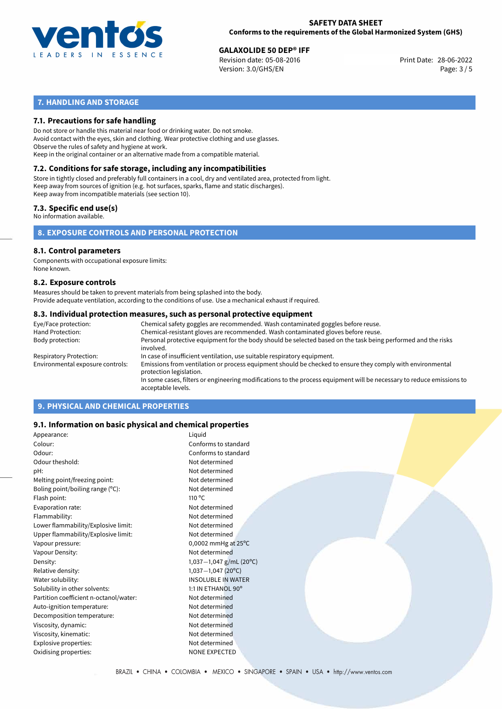

**GALAXOLIDE 50 DEP® IFF**<br>
Revision date: 05-08-2016 Print Date: 28-06-2022 Version: 3.0/GHS/EN Page: 3 / 5

# **7. HANDLING AND STORAGE**

#### **7.1. Precautions for safe handling**

Do not store or handle this material near food or drinking water. Do not smoke. Avoid contact with the eyes, skin and clothing. Wear protective clothing and use glasses. Observe the rules of safety and hygiene at work. Keep in the original container or an alternative made from a compatible material.

# **7.2. Conditions for safe storage, including any incompatibilities**

Store in tightly closed and preferably full containers in a cool, dry and ventilated area, protected from light. Keep away from sources of ignition (e.g. hot surfaces, sparks, flame and static discharges). Keep away from incompatible materials (see section 10).

#### **7.3. Specific end use(s)**

No information available.

#### **8. EXPOSURE CONTROLS AND PERSONAL PROTECTION**

#### **8.1. Control parameters**

Components with occupational exposure limits: None known.

#### **8.2. Exposure controls**

Measures should be taken to prevent materials from being splashed into the body. Provide adequate ventilation, according to the conditions of use. Use a mechanical exhaust if required.

#### **8.3. Individual protection measures, such as personal protective equipment**

| Eye/Face protection:             | Chemical safety goggles are recommended. Wash contaminated goggles before reuse.                                                            |
|----------------------------------|---------------------------------------------------------------------------------------------------------------------------------------------|
| Hand Protection:                 | Chemical-resistant gloves are recommended. Wash contaminated gloves before reuse.                                                           |
| Body protection:                 | Personal protective equipment for the body should be selected based on the task being performed and the risks<br>involved.                  |
| Respiratory Protection:          | In case of insufficient ventilation, use suitable respiratory equipment.                                                                    |
| Environmental exposure controls: | Emissions from ventilation or process equipment should be checked to ensure they comply with environmental<br>protection legislation.       |
|                                  | In some cases, filters or engineering modifications to the process equipment will be necessary to reduce emissions to<br>acceptable levels. |
|                                  |                                                                                                                                             |

# **9. PHYSICAL AND CHEMICAL PROPERTIES**

#### **9.1. Information on basic physical and chemical properties**

| Appearance:                            | Liquid                        |  |
|----------------------------------------|-------------------------------|--|
| Colour:                                | Conforms to standard          |  |
| Odour:                                 | Conforms to standard          |  |
| Odour theshold:                        | Not determined                |  |
| pH:                                    | Not determined                |  |
| Melting point/freezing point:          | Not determined                |  |
| Boling point/boiling range $(°C)$ :    | Not determined                |  |
| Flash point:                           | $110^{\circ}$ C               |  |
| Evaporation rate:                      | Not determined                |  |
| Flammability:                          | Not determined                |  |
| Lower flammability/Explosive limit:    | Not determined                |  |
| Upper flammability/Explosive limit:    | Not determined                |  |
| Vapour pressure:                       | 0,0002 mmHg at $25^{\circ}$ C |  |
| Vapour Density:                        | Not determined                |  |
| Density:                               | 1,037 $-1$ ,047 g/mL (20°C)   |  |
| Relative density:                      | $1,037-1,047$ (20°C)          |  |
| Water solubility:                      | <b>INSOLUBLE IN WATER</b>     |  |
| Solubility in other solvents:          | 1:1 IN ETHANOL 90°            |  |
| Partition coefficient n-octanol/water: | Not determined                |  |
| Auto-ignition temperature:             | Not determined                |  |
| Decomposition temperature:             | Not determined                |  |
| Viscosity, dynamic:                    | Not determined                |  |
| Viscosity, kinematic:                  | Not determined                |  |
| Explosive properties:                  | Not determined                |  |
| Oxidising properties:                  | <b>NONE EXPECTED</b>          |  |
|                                        |                               |  |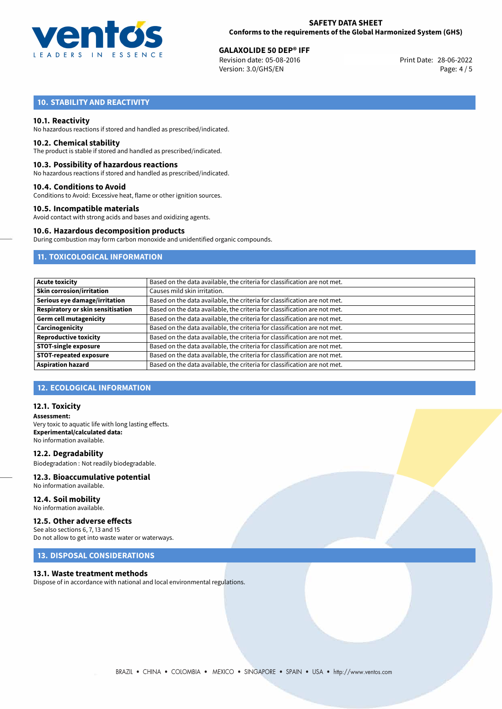

**GALAXOLIDE 50 DEP® IFF**<br>
Revision date: 05-08-2016 Print Date: 28-06-2022 Version: 3.0/GHS/EN Page: 4 / 5

# **10. STABILITY AND REACTIVITY**

#### **10.1. Reactivity**

No hazardous reactions if stored and handled as prescribed/indicated.

#### **10.2. Chemical stability**

The product is stable if stored and handled as prescribed/indicated.

#### **10.3. Possibility of hazardous reactions**

No hazardous reactions if stored and handled as prescribed/indicated.

#### **10.4. Conditions to Avoid**

Conditions to Avoid: Excessive heat, flame or other ignition sources.

#### **10.5. Incompatible materials**

Avoid contact with strong acids and bases and oxidizing agents.

#### **10.6. Hazardous decomposition products**

During combustion may form carbon monoxide and unidentified organic compounds.

### **11. TOXICOLOGICAL INFORMATION**

| <b>Acute toxicity</b>                    | Based on the data available, the criteria for classification are not met. |
|------------------------------------------|---------------------------------------------------------------------------|
| <b>Skin corrosion/irritation</b>         | Causes mild skin irritation.                                              |
| Serious eye damage/irritation            | Based on the data available, the criteria for classification are not met. |
| <b>Respiratory or skin sensitisation</b> | Based on the data available, the criteria for classification are not met. |
| <b>Germ cell mutagenicity</b>            | Based on the data available, the criteria for classification are not met. |
| Carcinogenicity                          | Based on the data available, the criteria for classification are not met. |
| <b>Reproductive toxicity</b>             | Based on the data available, the criteria for classification are not met. |
| <b>STOT-single exposure</b>              | Based on the data available, the criteria for classification are not met. |
| <b>STOT-repeated exposure</b>            | Based on the data available, the criteria for classification are not met. |
| <b>Aspiration hazard</b>                 | Based on the data available, the criteria for classification are not met. |

#### **12. ECOLOGICAL INFORMATION**

#### **12.1. Toxicity**

**Assessment:** Very toxic to aquatic life with long lasting effects. **Experimental/calculated data:** No information available.

**12.2. Degradability** Biodegradation : Not readily biodegradable.

# **12.3. Bioaccumulative potential**

No information available.

**12.4. Soil mobility** No information available.

#### **12.5. Other adverse effects**

See also sections 6, 7, 13 and 15 Do not allow to get into waste water or waterways.

#### **13. DISPOSAL CONSIDERATIONS**

#### **13.1. Waste treatment methods**

Dispose of in accordance with national and local environmental regulations.